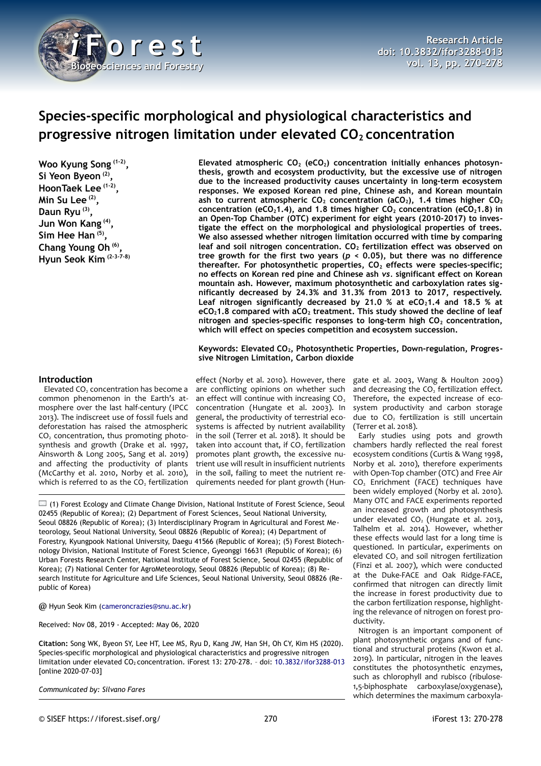

# **Species-specific morphological and physiological characteristics and progressive nitrogen limitation under elevated CO2 concentration**

**Woo Kyung Song (1-2) , Si Yeon Byeon (2) , HoonTaek Lee (1-2) , Min Su Lee (2) , Daun Ryu (3) , Jun Won Kang (4) , Sim Hee Han (5) , Chang Young Oh (6) , Hyun Seok Kim (2-3-7-8)**

**Elevated atmospheric CO2 (eCO2) concentration initially enhances photosynthesis, growth and ecosystem productivity, but the excessive use of nitrogen due to the increased productivity causes uncertainty in long-term ecosystem responses. We exposed Korean red pine, Chinese ash, and Korean mountain ash to current atmospheric CO2 concentration (aCO2), 1.4 times higher CO<sup>2</sup> concentration (eCO21.4), and 1.8 times higher CO2 concentration (eCO21.8) in an Open-Top Chamber (OTC) experiment for eight years (2010-2017) to investigate the effect on the morphological and physiological properties of trees. We also assessed whether nitrogen limitation occurred with time by comparing leaf and soil nitrogen concentration. CO2 fertilization effect was observed on tree growth for the first two years (***p* **< 0.05), but there was no difference thereafter. For photosynthetic properties, CO2 effects were species-specific; no effects on Korean red pine and Chinese ash** *vs.* **significant effect on Korean mountain ash. However, maximum photosynthetic and carboxylation rates significantly decreased by 24.3% and 31.3% from 2013 to 2017, respectively. Leaf nitrogen significantly decreased by 21.0 % at eCO21.4 and 18.5 % at eCO21.8 compared with aCO2 treatment. This study showed the decline of leaf nitrogen and species-specific responses to long-term high CO2 concentration, which will effect on species competition and ecosystem succession.**

**Keywords: Elevated CO2, Photosynthetic Properties, Down-regulation, Progressive Nitrogen Limitation, Carbon dioxide**

## **Introduction**

Elevated  $CO<sub>2</sub>$  concentration has become a common phenomenon in the Earth's atmosphere over the last half-century (IPCC 2013). The indiscreet use of fossil fuels and deforestation has raised the atmospheric CO<sub>2</sub> concentration, thus promoting photosynthesis and growth (Drake et al. 1997, Ainsworth & Long 2005, Sang et al. 2019) and affecting the productivity of plants (McCarthy et al. 2010, Norby et al. 2010), which is referred to as the  $CO<sub>2</sub>$  fertilization

are conflicting opinions on whether such an effect will continue with increasing  $CO<sub>2</sub>$ concentration (Hungate et al. 2003). In general, the productivity of terrestrial ecosystems is affected by nutrient availability in the soil (Terrer et al. 2018). It should be taken into account that, if CO<sub>2</sub> fertilization promotes plant growth, the excessive nutrient use will result in insufficient nutrients in the soil, failing to meet the nutrient requirements needed for plant growth (Hun-

 $\Box$  (1) Forest Ecology and Climate Change Division, National Institute of Forest Science, Seoul 02455 (Republic of Korea); (2) Department of Forest Sciences, Seoul National University, Seoul 08826 (Republic of Korea); (3) Interdisciplinary Program in Agricultural and Forest Meteorology, Seoul National University, Seoul 08826 (Republic of Korea); (4) Department of Forestry, Kyungpook National University, Daegu 41566 (Republic of Korea); (5) Forest Biotechnology Division, National Institute of Forest Science, Gyeonggi 16631 (Republic of Korea); (6) Urban Forests Research Center, National Institute of Forest Science, Seoul 02455 (Republic of Korea); (7) National Center for AgroMeteorology, Seoul 08826 (Republic of Korea); (8) Research Institute for Agriculture and Life Sciences, Seoul National University, Seoul 08826 (Republic of Korea)

@ Hyun Seok Kim [\(cameroncrazies@snu.ac.kr\)](mailto:cameroncrazies@snu.ac.kr)

Received: Nov 08, 2019 - Accepted: May 06, 2020

**Citation:** Song WK, Byeon SY, Lee HT, Lee MS, Ryu D, Kang JW, Han SH, Oh CY, Kim HS (2020). Species-specific morphological and physiological characteristics and progressive nitrogen limitation under elevated CO<sub>2</sub> concentration. iForest 13: 270-278. - doi: [10.3832/ifor3288-013](http://www.sisef.it/iforest/contents/?id=ifor3288-013) [online 2020-07-03]

*Communicated by: Silvano Fares*

effect (Norby et al. 2010). However, there gate et al. 2003, Wang & Houlton 2009) and decreasing the  $CO<sub>2</sub>$  fertilization effect. Therefore, the expected increase of ecosystem productivity and carbon storage due to  $CO<sub>2</sub>$  fertilization is still uncertain (Terrer et al. 2018).

> Early studies using pots and growth chambers hardly reflected the real forest ecosystem conditions (Curtis & Wang 1998, Norby et al. 2010), therefore experiments with Open-Top chamber (OTC) and Free Air CO<sub>2</sub> Enrichment (FACE) techniques have been widely employed (Norby et al. 2010). Many OTC and FACE experiments reported an increased growth and photosynthesis under elevated  $CO<sub>2</sub>$  (Hungate et al. 2013, Talhelm et al. 2014). However, whether these effects would last for a long time is questioned. In particular, experiments on elevated CO<sub>2</sub> and soil nitrogen fertilization (Finzi et al. 2007), which were conducted at the Duke-FACE and Oak Ridge-FACE, confirmed that nitrogen can directly limit the increase in forest productivity due to the carbon fertilization response, highlighting the relevance of nitrogen on forest productivity.

> Nitrogen is an important component of plant photosynthetic organs and of functional and structural proteins (Kwon et al. 2019). In particular, nitrogen in the leaves constitutes the photosynthetic enzymes, such as chlorophyll and rubisco (ribulose-1,5-biphosphate carboxylase/oxygenase), which determines the maximum carboxyla-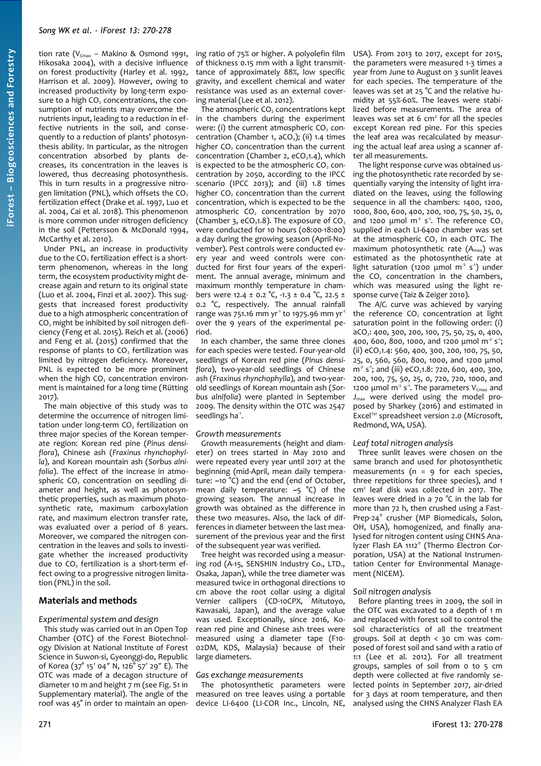tion rate ( $V_{Cmax}$  – Makino & Osmond 1991, Hikosaka 2004), with a decisive influence on forest productivity (Harley et al. 1992, Harrison et al. 2009). However, owing to increased productivity by long-term exposure to a high CO<sub>2</sub> concentrations, the consumption of nutrients may overcome the nutrients input, leading to a reduction in effective nutrients in the soil, and consequently to a reduction of plants' photosynthesis ability. In particular, as the nitrogen concentration absorbed by plants decreases, its concentration in the leaves is lowered, thus decreasing photosynthesis. This in turn results in a progressive nitrogen limitation (PNL), which offsets the  $CO<sub>2</sub>$ fertilization effect (Drake et al. 1997, Luo et al. 2004, Cai et al. 2018). This phenomenon is more common under nitrogen deficiency in the soil (Pettersson & McDonald 1994, McCarthy et al. 2010).

Under PNL, an increase in productivity due to the CO<sub>2</sub> fertilization effect is a shortterm phenomenon, whereas in the long term, the ecosystem productivity might decrease again and return to its original state (Luo et al. 2004, Finzi et al. 2007). This suggests that increased forest productivity due to a high atmospheric concentration of CO<sub>2</sub> might be inhibited by soil nitrogen deficiency (Feng et al. 2015). Reich et al. (2006) and Feng et al. (2015) confirmed that the response of plants to CO<sub>2</sub> fertilization was limited by nitrogen deficiency. Moreover, PNL is expected to be more prominent when the high CO<sub>2</sub> concentration environment is maintained for a long time (Rütting 2017).

The main objective of this study was to determine the occurrence of nitrogen limitation under long-term  $CO<sub>2</sub>$  fertilization on three major species of the Korean temperate region: Korean red pine (*Pinus densiflora*), Chinese ash (*Fraxinus rhynchophylla*), and Korean mountain ash (*Sorbus alnifolia*). The effect of the increase in atmospheric CO<sub>2</sub> concentration on seedling diameter and height, as well as photosynthetic properties, such as maximum photosynthetic rate, maximum carboxylation rate, and maximum electron transfer rate, was evaluated over a period of 8 years. Moreover, we compared the nitrogen concentration in the leaves and soils to investigate whether the increased productivity due to CO<sub>2</sub> fertilization is a short-term effect owing to a progressive nitrogen limitation (PNL) in the soil.

## **Materials and methods**

#### *Experimental system and design*

This study was carried out in an Open Top Chamber (OTC) of the Forest Biotechnology Division at National Institute of Forest Science in Suwon-si, Gyeonggi-do, Republic of Korea (37° 15′ 04″ N, 126° 57′ 29″ E). The OTC was made of a decagon structure of diameter 10 m and height 7 m (see Fig. S1 in Supplementary material). The angle of the roof was 45° in order to maintain an opening ratio of 75% or higher. A polyolefin film of thickness 0.15 mm with a light transmittance of approximately 88%, low specific gravity, and excellent chemical and water resistance was used as an external covering material (Lee et al. 2012).

The atmospheric  $CO<sub>2</sub>$  concentrations kept in the chambers during the experiment were: (i) the current atmospheric  $CO<sub>2</sub>$  concentration (Chamber 1,  $aCO<sub>2</sub>$ ); (ii) 1.4 times higher CO<sub>2</sub> concentration than the current concentration (Chamber 2,  $eCO<sub>1</sub>1.4$ ), which is expected to be the atmospheric CO<sub>2</sub> concentration by 2050, according to the IPCC scenario (IPCC 2013); and (iii) 1.8 times higher  $CO<sub>2</sub>$  concentration than the current concentration, which is expected to be the atmospheric  $CO<sub>2</sub>$  concentration by 2070 (Chamber 3, eCO<sub>2</sub>1.8). The exposure of  $CO<sub>2</sub>$ were conducted for 10 hours (08:00-18:00) a day during the growing season (April-November). Pest controls were conducted every year and weed controls were conducted for first four years of the experiment. The annual average, minimum and maximum monthly temperature in chambers were 12.4 ± 0.2 °C, -1.3 ± 0.4 °C, 22.5 ± 0.2 °C, respectively. The annual rainfall range was 751.16 mm yr<sup>1</sup> to 1975.96 mm yr<sup>1</sup> over the 9 years of the experimental period.

In each chamber, the same three clones for each species were tested. Four-year-old seedlings of Korean red pine (*Pinus densiflora*), two-year-old seedlings of Chinese ash (*Fraxinus rhynchophylla*), and two-yearold seedlings of Korean mountain ash (*Sorbus alnifolia*) were planted in September 2009. The density within the OTC was 2547 seedlings ha<sup>-1</sup>.

#### *Growth measurements*

Growth measurements (height and diameter) on trees started in May 2010 and were repeated every year until 2017 at the beginning (mid-April, mean daily temperature: ~10 °C) and the end (end of October, mean daily temperature:  $-5$  °C) of the growing season. The annual increase in growth was obtained as the difference in these two measures. Also, the lack of differences in diameter between the last measurement of the previous year and the first of the subsequent year was verified.

Tree height was recorded using a measuring rod (A-15, SENSHIN Industry Co., LTD., Osaka, Japan), while the tree diameter was measured twice in orthogonal directions 10 cm above the root collar using a digital Vernier callipers (CD-10CPX, Mitutoyo, Kawasaki, Japan), and the average value was used. Exceptionally, since 2016, Korean red pine and Chinese ash trees were measured using a diameter tape (F10- 02DM, KDS, Malaysia) because of their large diameters.

#### *Gas exchange measurements*

The photosynthetic parameters were measured on tree leaves using a portable device LI-6400 (LI-COR Inc., Lincoln, NE,

USA). From 2013 to 2017, except for 2015, the parameters were measured 1-3 times a year from June to August on 3 sunlit leaves for each species. The temperature of the leaves was set at 25 °C and the relative humidity at 55%-60%. The leaves were stabilized before measurements. The area of leaves was set at  $6 \text{ cm}^2$  for all the species except Korean red pine. For this species the leaf area was recalculated by measuring the actual leaf area using a scanner after all measurements.

The light response curve was obtained using the photosynthetic rate recorded by sequentially varying the intensity of light irradiated on the leaves, using the following sequence in all the chambers: 1400, 1200, 1000, 800, 600, 400, 200, 100, 75, 50, 25, 0, and 1200  $\mu$ mol m<sup>2</sup> s<sup>-1</sup>. The reference CO<sub>2</sub> supplied in each LI-6400 chamber was set at the atmospheric CO<sub>2</sub> in each OTC. The maximum photosynthetic rate (A<sub>max</sub>) was estimated as the photosynthetic rate at light saturation (1200  $\mu$ mol m<sup>2</sup> s<sup>1</sup>) under the CO<sub>2</sub> concentration in the chambers, which was measured using the light response curve (Taiz & Zeiger 2010).

The *A*/*C*<sup>i</sup> curve was achieved by varying the reference  $CO<sub>2</sub>$  concentration at light saturation point in the following order: (i) aCO2: 400, 300, 200, 100, 75, 50, 25, 0, 400, 400, 600, 800, 1000, and 1200  $\mu$ mol m<sup>2</sup> s<sup>-1</sup>; (ii) eCO<sub>2</sub>1.4: 560, 400, 300, 200, 100, 75, 50, 25, 0, 560, 560, 800, 1000, and 1200 μmol  $m<sup>2</sup> s<sup>-1</sup>$ ; and (iii) eCO<sub>2</sub>1.8: 720, 600, 400, 300, 200, 100, 75, 50, 25, 0, 720, 720, 1000, and 1200 μmol m<sup>2</sup> s<sup>1</sup>. The parameters V<sub>Cmax</sub> and  $J_{\text{max}}$  were derived using the model proposed by Sharkey (2016) and estimated in Excel™ spreadsheet version 2.0 (Microsoft, Redmond, WA, USA).

#### *Leaf total nitrogen analysis*

Three sunlit leaves were chosen on the same branch and used for photosynthetic measurements ( $n = 9$  for each species, three repetitions for three species), and 1 cm<sup>2</sup> leaf disk was collected in 2017. The leaves were dried in a 70 °C in the lab for more than 72 h, then crushed using a Fast-Prep-24® crusher (MP Biomedicals, Solon, OH, USA), homogenized, and finally analysed for nitrogen content using CHNS Analyzer Flash EA 1112® (Thermo Electron Corporation, USA) at the National Instrumentation Center for Environmental Management (NICEM).

#### *Soil nitrogen analysis*

Before planting trees in 2009, the soil in the OTC was excavated to a depth of 1 m and replaced with forest soil to control the soil characteristics of all the treatment groups. Soil at depth < 30 cm was composed of forest soil and sand with a ratio of 1:1 (Lee et al. 2012). For all treatment groups, samples of soil from 0 to 5 cm depth were collected at five randomly selected points in September 2017, air-dried for 3 days at room temperature, and then analysed using the CHNS Analyzer Flash EA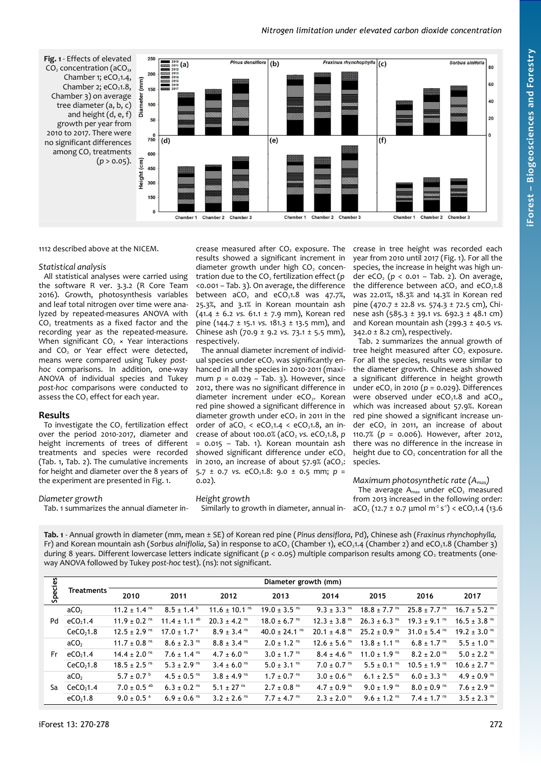## *Nitrogen limitation under elevated carbon dioxide concentration*

<span id="page-2-1"></span>

1112 described above at the NICEM.

#### *Statistical analysis*

All statistical analyses were carried using the software R ver. 3.3.2 (R Core Team 2016). Growth, photosynthesis variables and leaf total nitrogen over time were analyzed by repeated-measures ANOVA with  $CO<sub>2</sub>$  treatments as a fixed factor and the recording year as the repeated-measure. When significant  $CO<sub>2</sub>$  × Year interactions and  $CO<sub>2</sub>$  or Year effect were detected, means were compared using Tukey *posthoc* comparisons. In addition, one-way ANOVA of individual species and Tukey *post-hoc* comparisons were conducted to assess the  $CO<sub>2</sub>$  effect for each year.

## **Results**

To investigate the  $CO<sub>2</sub>$  fertilization effect over the period 2010-2017, diameter and height increments of trees of different treatments and species were recorded [\(Tab. 1,](#page-2-0) [Tab. 2\)](#page-3-0). The cumulative increments for height and diameter over the 8 years of the experiment are presented in [Fig. 1.](#page-2-1)

diameter growth under high CO<sub>2</sub> concentration due to the CO<sub>2</sub> fertilization effect (*p* <0.001 – [Tab. 3\)](#page-3-1). On average, the difference between  $aCO<sub>2</sub>$  and  $eCO<sub>2</sub>1.8$  was 47.7%, 25.3%, and 3.1% in Korean mountain ash (41.4 ± 6.2 *vs.* 61.1 ± 7.9 mm), Korean red pine (144.7 ± 15.1 *vs.* 181.3 ± 13.5 mm), and Chinese ash (70.9 ± 9.2 *vs.* 73.1 ± 5.5 mm), respectively. The annual diameter increment of individ-

crease measured after CO<sub>2</sub> exposure. The results showed a significant increment in

ual species under eCO<sub>2</sub> was significantly enhanced in all the species in 2010-2011 (maximum *p* = 0.029 – [Tab. 3\)](#page-3-1). However, since 2012, there was no significant difference in diameter increment under  $eCO<sub>2</sub>$ . Korean red pine showed a significant difference in diameter growth under  $eCO<sub>2</sub>$  in 2011 in the order of  $aCO<sub>2</sub> < eCO<sub>2</sub>1.4 < eCO<sub>2</sub>1.8$ , an increase of about 100.0% (aCO<sub>2</sub> vs. eCO<sub>2</sub>1.8, *p* = 0.015 – [Tab. 1\)](#page-2-0). Korean mountain ash showed significant difference under  $eCO<sub>2</sub>$ in 2010, an increase of about  $57.9%$  (aCO<sub>2</sub>: 5.7 ± 0.7 *vs.* eCO<sub>2</sub>1.8: 9.0 ± 0.5 mm; *p* =  $0.02$ ).

*Diameter growth*

[Tab. 1](#page-2-0) summarizes the annual diameter in-

*Height growth* Similarly to growth in diameter, annual in-

crease in tree height was recorded each year from 2010 until 2017 [\(Fig. 1\)](#page-2-1). For all the species, the increase in height was high under eCO<sub>2</sub> ( $p < 0.01$  – [Tab. 2\)](#page-3-0). On average, the difference between  $aCO$ , and  $eCO<sub>2</sub>1.8$ was 22.01%, 18.3% and 14.3% in Korean red pine (470.7 ± 22.8 *vs.* 574.3 ± 72.5 cm), Chinese ash (585.3 ± 39.1 *vs.* 692.3 ± 48.1 cm) and Korean mountain ash (299.3 ± 40.5 *vs.*  $342.0 \pm 8.2$  cm), respectively.

[Tab. 2](#page-3-0) summarizes the annual growth of tree height measured after  $CO<sub>2</sub>$  exposure. For all the species, results were similar to the diameter growth. Chinese ash showed a significant difference in height growth under  $eCO<sub>2</sub>$  in 2010 ( $p = 0.029$ ). Differences were observed under  $eCO<sub>2</sub>1.8$  and  $aCO<sub>2</sub>$ , which was increased about 57.9%. Korean red pine showed a significant increase under  $eCO<sub>2</sub>$  in 2011, an increase of about 110.7% (*p* = 0.006). However, after 2012, there was no difference in the increase in height due to  $CO<sub>2</sub>$  concentration for all the species.

## *Maximum photosynthetic rate (Amax)*

The average  $A_{max}$  under eCO<sub>2</sub> measured from 2013 increased in the following order:  $aCO<sub>2</sub>$  (12.7 ± 0.7 µmol m<sup>-2</sup> s<sup>-1</sup>) < eCO<sub>2</sub>1.4 (13.6)

<span id="page-2-0"></span>**Tab. 1** - Annual growth in diameter (mm, mean ± SE) of Korean red pine (*Pinus densiflora*, Pd), Chinese ash (*Fraxinus rhynchophylla,* Fr) and Korean mountain ash (*Sorbus alniflolia*, Sa) in response to aCO<sub>2</sub> (Chamber 1), eCO<sub>2</sub>1.4 (Chamber 2) and eCO<sub>2</sub>1.8 (Chamber 3) during 8 years. Different lowercase letters indicate significant ( $p < 0.05$ ) multiple comparison results among CO<sub>2</sub> treatments (oneway ANOVA followed by Tukey *post-hoc* test). (ns): not significant.

|         | <b>Treatments</b>     | Diameter growth (mm)         |                              |                               |                              |                              |                              |                              |                              |  |  |
|---------|-----------------------|------------------------------|------------------------------|-------------------------------|------------------------------|------------------------------|------------------------------|------------------------------|------------------------------|--|--|
| Species |                       | 2010                         | 2011                         | 2012                          | 2013                         | 2014                         | 2015                         | 2016                         | 2017                         |  |  |
| Pd      | ACO <sub>2</sub>      | $11.2 \pm 1.4$ <sup>ms</sup> | $8.5 \pm 1.4^{\circ}$        | 11.6 $\pm$ 10.1 <sup>ns</sup> | $19.0 \pm 3.5$ <sup>ms</sup> | $9.3 \pm 3.3$ <sup>ns</sup>  | $18.8 \pm 7.7$ <sup>ms</sup> | $25.8 \pm 7.7$ <sup>ns</sup> | $16.7 \pm 5.2$ <sup>ns</sup> |  |  |
|         | eCO <sub>2</sub> 1.4  | $11.9 \pm 0.2$ <sup>ns</sup> | $11.4 \pm 1.1$ <sup>ab</sup> | $20.3 \pm 4.2$ <sup>ms</sup>  | $18.0 \pm 6.7$ <sup>ms</sup> | $12.3 + 3.8$ <sup>ms</sup>   | $26.3 \pm 6.3$ <sup>ns</sup> | $19.3 \pm 9.1$ <sup>ms</sup> | $16.5 \pm 3.8$ <sup>ms</sup> |  |  |
|         | CeCO <sub>2</sub> 1.8 | $12.5 \pm 2.9$ <sup>ns</sup> | $17.0 \pm 1.7$ <sup>a</sup>  | $8.9 \pm 3.4$ <sup>ms</sup>   | 40.0 ± 24.1 $\text{ns}$      | $20.1 \pm 4.8$ <sup>ns</sup> | $25.2 \pm 0.9$ <sup>ms</sup> | $31.0 \pm 5.4$ <sup>ns</sup> | $19.2 \pm 3.0$ <sup>ns</sup> |  |  |
|         | ACO <sub>2</sub>      | 11.7 ± 0.8 $\text{ns}$       | $8.6 \pm 2.3$ <sup>ns</sup>  | $8.8 \pm 3.4$ <sup>ms</sup>   | $2.0 \pm 1.2$ <sup>ms</sup>  | $12.6 \pm 5.6$ <sup>ms</sup> | $13.8 \pm 1.1$ <sup>ms</sup> | $6.8 \pm 1.7$ <sup>ns</sup>  | $5.5 \pm 1.0$ <sup>ms</sup>  |  |  |
| Fr      | eCO <sub>2</sub> 1.4  | $14.4 \pm 2.0$ <sup>ns</sup> | $7.6 \pm 1.4$ <sup>ns</sup>  | $4.7 \pm 6.0$ <sup>ms</sup>   | $3.0 \pm 1.7$ <sup>ms</sup>  | $8.4 \pm 4.6$ <sup>ms</sup>  | $11.0 \pm 1.9$ <sup>ms</sup> | $8.2 \pm 2.0$ <sup>ms</sup>  | $5.0 \pm 2.2$ <sup>ns</sup>  |  |  |
|         | CeCO <sub>2</sub> 1.8 | $18.5 \pm 2.5$ <sup>ms</sup> | $5.3 \pm 2.9$ <sup>ns</sup>  | $3.4 \pm 6.0$ <sup>ms</sup>   | $5.0 \pm 3.1$ <sup>ms</sup>  | $7.0 \pm 0.7$ <sup>ms</sup>  | $5.5 \pm 0.1$ <sup>ms</sup>  | $10.5 \pm 1.9$ <sup>ns</sup> | $10.6 \pm 2.7$ <sup>ms</sup> |  |  |
|         | ACO <sub>2</sub>      | $5.7 \pm 0.7^{\circ}$        | $4.5 \pm 0.5$ <sup>ms</sup>  | $3.8 \pm 4.9$ <sup>ns</sup>   | $1.7 \pm 0.7$ <sup>ms</sup>  | $3.0 \pm 0.6$ <sup>ms</sup>  | $6.1 \pm 2.5$ <sup>ms</sup>  | $6.0 \pm 3.3$ <sup>ns</sup>  | 4.9 ± 0.9 <sup>ns</sup>      |  |  |
| Sa      | CeCO <sub>2</sub> 1.4 | $7.0 \pm 0.5$ <sup>ab</sup>  | $6.3 \pm 0.2$ <sup>ns</sup>  | 5.1 $\pm$ 27 <sup>ns</sup>    | $2.7 \pm 0.8$ <sup>ns</sup>  | 4.7 ± 0.9 $\text{ns}$        | $9.0 \pm 1.9$ <sup>ms</sup>  | $8.0 \pm 0.9$ <sup>ms</sup>  | $7.6 \pm 2.9$ <sup>ns</sup>  |  |  |
|         | eCO <sub>2</sub> 1.8  | $9.0 \pm 0.5$ <sup>a</sup>   | $6.9 \pm 0.6$ <sup>ms</sup>  | $3.2 \pm 2.6$ <sup>ms</sup>   | $7.7 \pm 4.7$ <sup>ns</sup>  | $2.3 \pm 2.0$ <sup>ns</sup>  | $9.6 \pm 1.2$ <sup>ms</sup>  | $7.4 \pm 1.7$ <sup>ns</sup>  | $3.5 \pm 2.3$ <sup>ms</sup>  |  |  |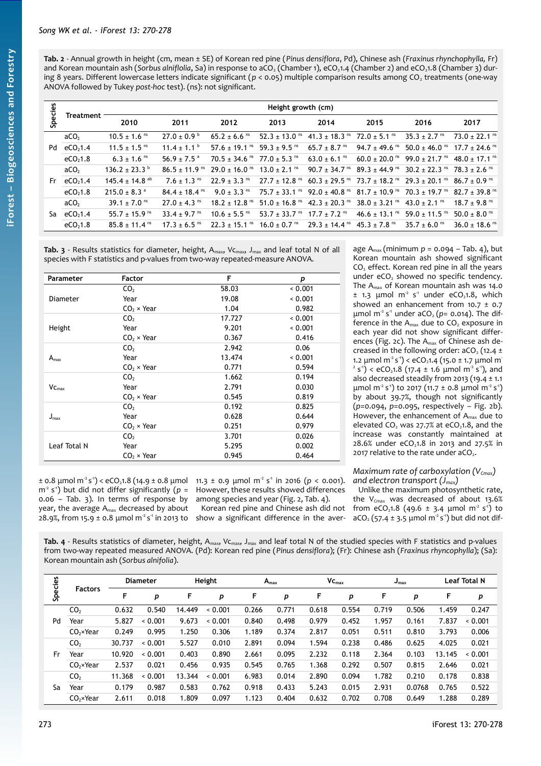| Species | <b>Treatment</b>     | Height growth (cm)             |                              |                                      |                               |                                      |                               |                                                                                                                                                       |                               |  |  |
|---------|----------------------|--------------------------------|------------------------------|--------------------------------------|-------------------------------|--------------------------------------|-------------------------------|-------------------------------------------------------------------------------------------------------------------------------------------------------|-------------------------------|--|--|
|         |                      | 2010                           | 2011                         | 2012                                 | 2013                          | 2014                                 | 2015                          | 2016                                                                                                                                                  | 2017                          |  |  |
| Pd      | aCO <sub>2</sub>     | $10.5 \pm 1.6$ <sup>ms</sup>   | $27.0 \pm 0.9^{\circ}$       | $65.2 \pm 6.6$ <sup>ms</sup>         | 52.3 $\pm$ 13.0 <sup>ns</sup> | $41.3 \pm 18.3$ ns $72.0 \pm 5.1$ ns |                               | $35.3 \pm 2.7$ <sup>ms</sup>                                                                                                                          | $73.0 \pm 22.1$ <sup>ns</sup> |  |  |
|         | eCO <sub>2</sub> 1.4 | $11.5 \pm 1.5$ <sup>ms</sup>   | $11.4 \pm 1.1^{\circ}$       | 57.6 $\pm$ 19.1 <sup>ns</sup>        | 59.3 $\pm$ 9.5 <sup>ms</sup>  | 65.7 ± 8.7 <sup>ns</sup>             | 94.7 ± 49.6 <sup>ns</sup>     | $50.0 + 46.0$ ns $17.7 + 74.6$ ns                                                                                                                     |                               |  |  |
|         | eCO <sub>2</sub> 1.8 | $6.3 \pm 1.6$ <sup>ms</sup>    | $56.9 \pm 7.5$ <sup>a</sup>  | $70.5 \pm 34.6$ ns $77.0 \pm 5.3$ ns |                               | $63.0 \pm 6.1$ <sup>ms</sup>         |                               | $60.0 + 20.0$ <sup>ns</sup> $99.0 + 21.7$ <sup>ns</sup>                                                                                               | 48.0 + 17.1 <sup>ns</sup>     |  |  |
| Fr.     | aCO <sub>2</sub>     | $136.2 + 23.3$                 | $86.5 + 11.9$ <sup>ns</sup>  | $29.0 \pm 16.0$ ns $13.0 \pm 2.1$ ns |                               |                                      |                               | $90.7 \pm 34.7$ <sup>ns</sup> $89.3 \pm 44.9$ ns $30.2 \pm 22.3$ ns $78.3 \pm 2.6$ ns                                                                 |                               |  |  |
|         | eCO <sub>2</sub> 1.4 | 145.4 $\pm$ 14.8 <sup>ab</sup> | $7.6 \pm 1.3$ <sup>ns</sup>  | $22.9 \pm 3.3$ <sup>ms</sup>         | $27.7 \pm 12.8$ <sup>ns</sup> |                                      |                               | $60.3 \pm 29.5$ ns $73.7 \pm 18.2$ ns $29.3 \pm 20.1$ ns $86.7 \pm 0.9$ ns                                                                            |                               |  |  |
|         | eCO <sub>2</sub> 1.8 | $215.0 \pm 8.3$ <sup>a</sup>   | $84.4 + 18.4$ <sup>ns</sup>  | $9.0 \pm 3.3$ <sup>ns</sup>          |                               |                                      |                               | $75.7 \pm 33.1$ <sup>ns</sup> 92.0 $\pm$ 40.8 <sup>ns</sup> 81.7 $\pm$ 10.9 <sup>ns</sup> 70.3 $\pm$ 19.7 <sup>ns</sup> 82.7 $\pm$ 39.8 <sup>ns</sup> |                               |  |  |
| Sa      | aCO <sub>2</sub>     | $39.1 \pm 7.0$ <sup>ms</sup>   | $27.0 \pm 4.3$ <sup>ms</sup> | $18.2 \pm 12.8$ <sup>ns</sup>        | 51.0 ± 16.8 <sup>ns</sup>     | 42.3 ± 20.3 <sup>ns</sup>            | $38.0 \pm 3.21$ <sup>ms</sup> | 43.0 ± 2.1 <sup>ns</sup>                                                                                                                              | $18.7 + 9.8$ <sup>ns</sup>    |  |  |
|         | eCO <sub>2</sub> 1.4 | $55.7 \pm 15.9$ <sup>ns</sup>  | 33.4 $\pm$ 9.7 <sup>ns</sup> | $10.6 \pm 5.5$ <sup>ms</sup>         | 53.7 $\pm$ 33.7 <sup>ns</sup> | $17.7 \pm 7.2$ <sup>ns</sup>         | 46.6 ± 13.1 <sup>ns</sup>     | 59.0 $\pm$ 11.5 <sup>ns</sup>                                                                                                                         | 50.0 $\pm$ 8.0 <sup>ns</sup>  |  |  |
|         | eCO <sub>2</sub> 1.8 | $85.8 \pm 11.4$ <sup>ns</sup>  | $17.3 \pm 6.5$ <sup>ms</sup> | $22.3 \pm 15.1$ <sup>ms</sup>        | $16.0 \pm 0.7$ <sup>ns</sup>  | $29.3 \pm 14.4$ ns $45.3 \pm 7.8$ ns |                               | $35.7 \pm 6.0$ <sup>ns</sup>                                                                                                                          | $36.0 \pm 18.6$ <sup>ns</sup> |  |  |

<span id="page-3-1"></span>**Tab. 3** - Results statistics for diameter, height,  $A_{max}$ ,  $V_{max}$ ,  $J_{max}$  and leaf total N of all species with F statistics and p-values from two-way repeated-measure ANOVA.

| Parameter            | <b>Factor</b>     | F      | р     |
|----------------------|-------------------|--------|-------|
|                      | CO <sub>2</sub>   | 58.03  | 0.001 |
| <b>Diameter</b>      | Year              | 19.08  | 0.001 |
|                      | $CO2 \times Year$ | 1.04   | 0.982 |
|                      | CO <sub>2</sub>   | 17.727 | 0.001 |
| Height               | Year              | 9.201  | 0.001 |
|                      | $CO2 \times Year$ | 0.367  | 0.416 |
|                      | CO <sub>2</sub>   | 2.942  | 0.06  |
| $A_{\text{max}}$     | Year              | 13.474 | 0.001 |
|                      | $CO2 \times Year$ | 0.771  | 0.594 |
|                      | CO <sub>2</sub>   | 1.662  | 0.194 |
| $V_{C_{\text{max}}}$ | Year              | 2.791  | 0.030 |
|                      | $CO2 \times Year$ | 0.545  | 0.819 |
|                      | CO <sub>2</sub>   | 0.192  | 0.825 |
| $J_{\text{max}}$     | Year              | 0.628  | 0.644 |
|                      | $CO2 \times Year$ | 0.251  | 0.979 |
|                      | CO <sub>2</sub>   | 3.701  | 0.026 |
| Leaf Total N         | Year              | 5.295  | 0.002 |
|                      | $CO2 \times Year$ | 0.945  | 0.464 |

 $\pm$  0.8  $\mu$ mol m<sup>2</sup>s<sup>-1</sup>) < eCO<sub>2</sub>1.8 (14.9  $\pm$  0.8  $\mu$ mol 11.3  $\pm$  0.9  $\mu$ mol m<sup>2</sup> s<sup>-1</sup> in 2016 (*p* < 0.001).  $m<sup>2</sup>$  s<sup>-1</sup>) but did not differ significantly ( $p =$ 0.06 – [Tab. 3\)](#page-3-1). In terms of response by year, the average Amax decreased by about 28.9%, from 15.9  $\pm$  0.8 µmol m<sup>2</sup> s<sup>-1</sup> in 2013 to show a significant difference in the aver-

However, these results showed differences among species and year [\(Fig. 2,](#page-4-0) [Tab. 4\)](#page-3-2).

Korean red pine and Chinese ash did not

age  $A_{max}$  (minimum  $p = 0.094 -$ [Tab. 4\)](#page-3-2), but Korean mountain ash showed significant  $CO<sub>2</sub>$  effect. Korean red pine in all the years under  $eCO<sub>2</sub>$  showed no specific tendency. The Amax of Korean mountain ash was 14.0  $\pm$  1.3  $\mu$ mol m<sup>2</sup> s<sup>-1</sup> under eCO<sub>2</sub>1.8, which showed an enhancement from 10.7  $\pm$  0.7 μmol m<sup>-2</sup> s<sup>-1</sup> under aCO<sub>2</sub> ( $p$ = 0.014). The difference in the  $A_{\text{max}}$  due to  $CO_2$  exposure in each year did not show significant differ-ences [\(Fig. 2c](#page-4-0)). The A<sub>max</sub> of Chinese ash decreased in the following order:  $aCO<sub>2</sub>$  (12.4 ± 1.2 μmol m<sup>2</sup> s<sup>-1</sup>) < eCO<sub>2</sub>1.4 (15.0 ± 1.7 μmol m<sup>-</sup>  $(2^{2} s^{1})$  < eCO<sub>2</sub>1.8 (17.4 ± 1.6 µmol m<sup>-2</sup> s<sup>-1</sup>), and also decreased steadily from 2013 (19.4 ± 1.1  $\mu$ mol m<sup>-2</sup> s<sup>-1</sup>) to 2017 (11.7 ± 0.8  $\mu$ mol m<sup>-2</sup> s<sup>-1</sup>) by about 39.7%, though not significantly (*p*=0.094, *p*=0.095, respectively – [Fig. 2b](#page-4-0)). However, the enhancement of  $A_{\text{max}}$  due to elevated  $CO<sub>2</sub>$  was 27.7% at eCO<sub>2</sub>1.8, and the increase was constantly maintained at  $28.6%$  under eCO<sub>2</sub>1.8 in 2013 and 27.5% in 2017 relative to the rate under aCO<sub>2</sub>.

## *Maximum rate of carboxylation (VCmax) and electron transport (Jmax)*

Unlike the maximum photosynthetic rate, the  $V_{Cmax}$  was decreased of about 13.6% from eCO<sub>2</sub>1.8 (49.6  $\pm$  3.4 µmol m<sup>2</sup> s<sup>1</sup>) to  $aCO<sub>2</sub>$  (57.4  $\pm$  3.5 µmol m<sup>-2</sup> s<sup>-1</sup>) but did not dif-

<span id="page-3-2"></span>Tab. 4 - Results statistics of diameter, height, A<sub>max</sub>, V<sub>Cmax</sub>, J<sub>max</sub> and leaf total N of the studied species with F statistics and p-values from two-way repeated measured ANOVA. (Pd): Korean red pine (*Pinus densiflora*); (Fr): Chinese ash (*Fraxinus rhyncophylla*); (Sa): Korean mountain ash (*Sorbus alnifolia*).

| Species | <b>Factors</b>    | <b>Diameter</b> |         | Height |         | $A_{\text{max}}$ |       | VC <sub>max</sub> |       | $J_{\text{max}}$ |        | <b>Leaf Total N</b> |       |
|---------|-------------------|-----------------|---------|--------|---------|------------------|-------|-------------------|-------|------------------|--------|---------------------|-------|
|         |                   | F               | p       | F      | p       | F                | p     | F                 | р     | F                | р      | F                   | p     |
|         | CO <sub>2</sub>   | 0.632           | 0.540   | 14,449 | < 0.001 | 0.266            | 0.771 | 0.618             | 0.554 | 0.719            | 0.506  | 1.459               | 0.247 |
| Pd      | Year              | 5.827           | < 0.001 | 9.673  | < 0.001 | 0.840            | 0.498 | 0.979             | 0.452 | 1.957            | 0.161  | 7.837               | 0.001 |
|         | $CO2 \times Year$ | 0.249           | 0.995   | 1.250  | 0.306   | 1.189            | 0.374 | 2.817             | 0.051 | 0.511            | 0.810  | 3.793               | 0.006 |
|         | CO <sub>2</sub>   | 30.737          | 0.001   | 5.527  | 0.010   | 2.891            | 0.094 | 1.594             | 0.238 | 0.486            | 0.625  | 4.025               | 0.021 |
| Fr      | Year              | 10.920          | < 0.001 | 0.403  | 0.890   | 2.661            | 0.095 | 2.232             | 0.118 | 2.364            | 0.103  | 13.145              | 0.001 |
|         | $CO2 \times Year$ | 2.537           | 0.021   | 0.456  | 0.935   | 0.545            | 0.765 | 1.368             | 0.292 | 0.507            | 0.815  | 2.646               | 0.021 |
|         | CO <sub>2</sub>   | 11.368          | < 0.001 | 13.344 | < 0.001 | 6.983            | 0.014 | 2.890             | 0.094 | 1.782            | 0.210  | 0.178               | 0.838 |
| Sa      | Year              | 0.179           | 0.987   | 0.583  | 0.762   | 0.918            | 0.433 | 5.243             | 0.015 | 2.931            | 0.0768 | 0.765               | 0.522 |
|         | $CO2 \times Year$ | 2.611           | 0.018   | 1.809  | 0.097   | 1.123            | 0.404 | 0.632             | 0.702 | 0.708            | 0.649  | 1.288               | 0.289 |

**iForest –**

**Bio geoscie**

<span id="page-3-0"></span>**nces a nd Forestry**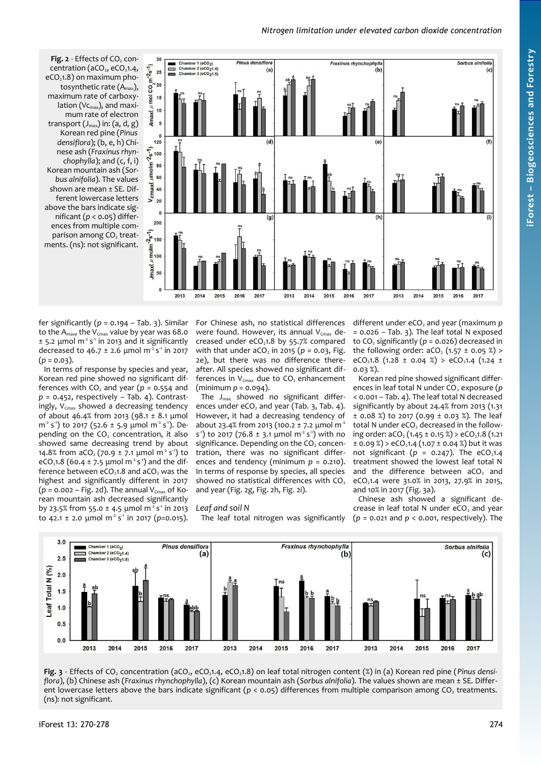#### *Nitrogen limitation under elevated carbon dioxide concentration*

<span id="page-4-0"></span>**Fig. 2** - Effects of CO<sub>2</sub> concentration ( $aCO<sub>2</sub>$ ,  $eCO<sub>2</sub>1.4$ ,  $eCO<sub>2</sub>1.8$ ) on maximum photosynthetic rate  $(A<sub>max</sub>)$ , maximum rate of carboxylation (Vc<sub>max</sub>), and maximum rate of electron transport  $(J_{\text{max}})$  in:  $(a, d, g)$ Korean red pine (*Pinus densiflora*); (b, e, h) Chinese ash (*Fraxinus rhynchophylla*); and (c, f, i) Korean mountain ash (*Sorbus alnifolia*). The values shown are mean ± SE. Different lowercase letters above the bars indicate significant (*p* < 0.05) differences from multiple comparison among CO<sub>2</sub> treatments. (ns): not significant.



fer significantly ( $p = 0.194 -$ [Tab. 3\)](#page-3-1). Similar to the  $A_{\text{max}}$ , the  $V_{\text{Cmax}}$  value by year was 68.0  $\pm$  5.2  $\mu$ mol m<sup>2</sup> s<sup>-1</sup> in 2013 and it significantly decreased to 46.7  $\pm$  2.6 µmol m<sup>2</sup> s<sup>-1</sup> in 2017  $(p = 0.03)$ .

In terms of response by species and year, Korean red pine showed no significant differences with  $CO<sub>2</sub>$  and year ( $p = 0.554$  and *p* = 0.452, respectively – [Tab. 4\)](#page-3-2). Contrastingly,  $V_{Cmax}$  showed a decreasing tendency of about 46.4% from 2013 (98.1  $\pm$  8.1 µmol m<sup>2</sup> s<sup>1</sup>) to 2017 (52.6 ± 5.9 µmol m<sup>2</sup> s<sup>1</sup>). Depending on the CO<sub>2</sub> concentration, it also showed same decreasing trend by about 14.8% from  $aCO<sub>2</sub>$  (70.9  $\pm$  7.1 µmol m<sup>2</sup> s<sup>-1</sup>) to eCO<sub>2</sub>1.8 (60.4 ± 7.5 µmol m<sup>-2</sup> s<sup>-1</sup>) and the difference between  $eCO<sub>2</sub>1.8$  and  $aCO<sub>2</sub>$  was the highest and significantly different in 2017  $(p = 0.002 - Fig. 2d)$  $(p = 0.002 - Fig. 2d)$  $(p = 0.002 - Fig. 2d)$ . The annual V<sub>Cmax</sub> of Korean mountain ash decreased significantly by 23.5% from 55.0  $\pm$  4.5 µmol m<sup>2</sup> s<sup>1</sup> in 2013 to 42.1 ± 2.0  $\mu$ mol m<sup>2</sup> s<sup>1</sup> in 2017 (*p*=0.015).

For Chinese ash, no statistical differences were found. However, its annual  $V_{Cmax}$  decreased under  $eCO<sub>2</sub>1.8$  by 55.7% compared with that under  $aCO<sub>2</sub>$  in 2015 ( $p = 0.03$ , [Fig.](#page-4-0) [2e](#page-4-0)), but there was no difference thereafter. All species showed no significant differences in  $V_{Cmax}$  due to  $CO<sub>2</sub>$  enhancement (minimum *p* = 0.094).

The  $J_{\text{max}}$  showed no significant differences under  $eCO<sub>2</sub>$  and year [\(Tab. 3,](#page-3-1) [Tab. 4\)](#page-3-2). However, it had a decreasing tendency of about 23.4% from 2013 (100.2 ± 7.2 µmol m<sup>2</sup> s<sup>-1</sup>) to 2017 (76.8  $\pm$  3.1 µmol m<sup>-2</sup> s<sup>-1</sup>) with no significance. Depending on the  $CO<sub>2</sub>$  concentration, there was no significant differences and tendency (minimum *p* = 0.210). In terms of response by species, all species showed no statistical differences with CO<sub>2</sub> and year [\(Fig. 2g](#page-4-0), [Fig. 2h](#page-4-0), [Fig. 2i](#page-4-0)).

#### *Leaf and soil N*

The leaf total nitrogen was significantly

different under eCO<sub>2</sub> and year (maximum p = 0.026 – [Tab. 3\)](#page-3-1). The leaf total N exposed to  $CO<sub>2</sub>$  significantly ( $p = 0.026$ ) decreased in the following order:  $aCO<sub>2</sub>$  (1.57 ± 0.05 %) > eCO<sub>2</sub>1.8 (1.28 ± 0.04 %) > eCO<sub>2</sub>1.4 (1.24 ± 0.03 %).

Korean red pine showed significant differences in leaf total N under CO<sub>2</sub> exposure (*p* < 0.001 – [Tab. 4\)](#page-3-2). The leaf total N decreased significantly by about 24.4% from 2013 (1.31  $\pm$  0.08 %) to 2017 (0.99  $\pm$  0.03 %). The leaf total N under eCO<sub>2</sub> decreased in the following order:  $aCO$ ,  $(1.45 \pm 0.15 \%)$  >  $eCO$ ,  $1.8$   $(1.21$  $\pm$  0.09 %) > eCO<sub>2</sub>1.4 (1.07  $\pm$  0.04 %) but it was not significant ( $p = 0.247$ ). The eCO<sub>2</sub>1.4 treatment showed the lowest leaf total N and the difference between  $aCO<sub>2</sub>$  and eCO<sub>2</sub>1.4 were 31.0% in 2013, 27.9% in 2015, and 10% in 2017 [\(Fig. 3a](#page-4-1)).

Chinese ash showed a significant decrease in leaf total  $N$  under  $eCO<sub>2</sub>$  and year (*p* = 0.021 and *p* < 0.001, respectively). The



<span id="page-4-1"></span>Fig. 3 - Effects of CO<sub>2</sub> concentration (aCO<sub>2</sub>, eCO<sub>2</sub>1.4, eCO<sub>2</sub>1.8) on leaf total nitrogen content (%) in (a) Korean red pine (*Pinus densiflora*), (b) Chinese ash (*Fraxinus rhynchophylla*), (c) Korean mountain ash (*Sorbus alnifolia*). The values shown are mean ± SE. Different lowercase letters above the bars indicate significant ( $p < 0.05$ ) differences from multiple comparison among CO<sub>2</sub> treatments. (ns): not significant.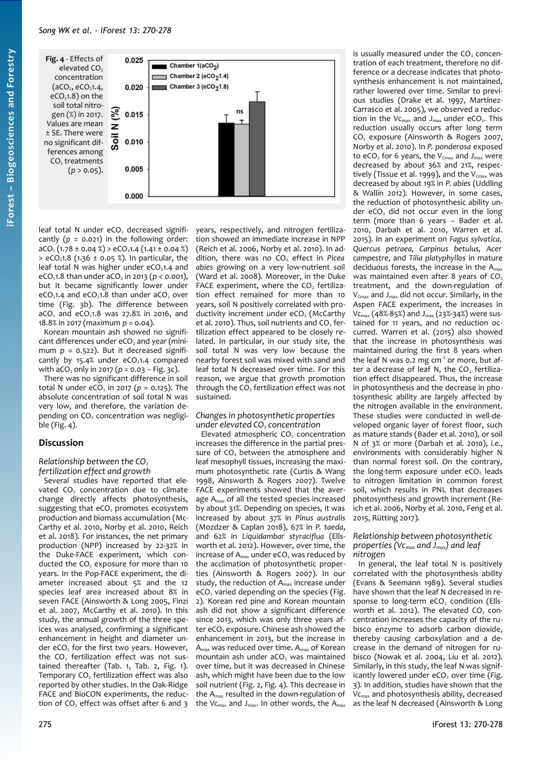<span id="page-5-0"></span>

leaf total N under  $eCO<sub>2</sub>$  decreased significantly  $(p = 0.021)$  in the following order:  $aCO<sub>2</sub>$  (1.78 ± 0.04 %) > eCO<sub>2</sub>1.4 (1.41 ± 0.04 %)  $>$  eCO<sub>2</sub>1.8 (1.36 ± 0.05 %). In particular, the leaf total N was higher under  $eCO<sub>2</sub>1.4$  and eCO<sub>2</sub>1.8 than under  $aCO<sub>2</sub>$  in 2013 ( $p < 0.001$ ), but it became significantly lower under  $eCO<sub>2</sub>1.4$  and  $eCO<sub>2</sub>1.8$  than under aCO<sub>2</sub> over time [\(Fig. 3b](#page-4-1)). The difference between  $aCO<sub>2</sub>$  and  $eCO<sub>2</sub>1.8$  was 27.8% in 2016, and 18.8% in 2017 (maximum *p* = 0.04).

Korean mountain ash showed no significant differences under eCO<sub>2</sub> and year (minimum  $p = 0.522$ ). But it decreased significantly by  $15.4%$  under eCO<sub>2</sub>1.4 compared with  $aCO_2$  only in 2017 ( $p = 0.03 - Fig. 3c$  $p = 0.03 - Fig. 3c$ ).

There was no significant difference in soil total N under  $eCO<sub>2</sub>$  in 2017 ( $p = 0.125$ ). The absolute concentration of soil total N was very low, and therefore, the variation depending on  $CO<sub>2</sub>$  concentration was negligible [\(Fig. 4\)](#page-5-0).

## **Discussion**

#### *Relationship between the CO<sup>2</sup> fertilization effect and growth*

Several studies have reported that elevated  $CO<sub>2</sub>$  concentration due to climate change directly affects photosynthesis, suggesting that  $eCO<sub>2</sub>$  promotes ecosystem production and biomass accumulation (Mc-Carthy et al. 2010, Norby et al. 2010, Reich et al. 2018). For instances, the net primary production (NPP) increased by 22-32% in the Duke-FACE experiment, which conducted the CO<sub>2</sub> exposure for more than 10 years. In the Pop-FACE experiment, the diameter increased about 5% and the 12 species leaf area increased about 8% in seven FACE (Ainsworth & Long 2005, Finzi et al. 2007, McCarthy et al. 2010). In this study, the annual growth of the three speices was analysed, confirming a significant enhancement in height and diameter under  $eCO<sub>2</sub>$  for the first two years. However, the CO<sub>2</sub> fertilization effect was not sustained thereafter [\(Tab. 1,](#page-2-0) [Tab. 2,](#page-3-0) [Fig. 1\)](#page-2-1). Temporary  $CO<sub>2</sub>$  fertilization effect was also reported by other studies. In the Oak-Ridge FACE and BioCON experiments, the reduction of CO<sub>2</sub> effect was offset after 6 and  $3$  years, respectively, and nitrogen fertilization showed an immediate increase in NPP (Reich et al. 2006, Norby et al. 2010). In addition, there was no CO<sub>2</sub> effect in Picea *abies* growing on a very low-nutrient soil (Ward et al. 2008). Moreover, in the Duke FACE experiment, where the  $CO<sub>2</sub>$  fertilization effect remained for more than 10 years, soil N positively correlated with productivity increment under eCO<sub>2</sub> (McCarthy et al. 2010). Thus, soil nutrients and  $CO<sub>2</sub>$  fertilization effect appeared to be closely related. In particular, in our study site, the soil total N was very low because the nearby forest soil was mixed with sand and leaf total N decreased over time. For this reason, we argue that growth promotion through the  $CO<sub>2</sub>$  fertilization effect was not sustained.

#### *Changes in photosynthetic properties under elevated CO2 concentration*

Elevated atmospheric CO<sub>2</sub> concentration increases the difference in the partial pressure of CO<sub>2</sub> between the atmosphere and leaf mesophyll tissues, increasing the maximum photosynthetic rate (Curtis & Wang 1998, Ainsworth & Rogers 2007). Twelve FACE experiments showed that the average  $A_{\text{max}}$  of all the tested species increased by about 31%. Depending on species, it was increased by about 37% in *Pinus australis* (Mozdzer & Caplan 2018), 67% in *P. taeda*, and 62% in *Liquidambar styraciflua* (Ellsworth et al. 2012). However, over time, the increase of  $A_{max}$  under eCO<sub>2</sub> was reduced by the acclimation of photosynthetic properties (Ainsworth & Rogers 2007). In our study, the reduction of  $A_{\text{max}}$  increase under  $eCO<sub>2</sub>$  varied depending on the species [\(Fig.](#page-4-0) [2\)](#page-4-0). Korean red pine and Korean mountain ash did not show a significant difference since 2013, which was only three years after  $eCO<sub>2</sub>$  exposure. Chinese ash showed the enhancement in 2013, but the increase in  $A_{\text{max}}$  was reduced over time.  $A_{\text{max}}$  of Korean mountain ash under aCO<sub>2</sub> was maintained over time, but it was decreased in Chinese ash, which might have been due to the low soil nutrient [\(Fig. 2,](#page-4-0) [Fig. 4\)](#page-5-0). This decrease in the Amax resulted in the down-regulation of the Vc<sub>max</sub> and J<sub>max</sub>. In other words, the A<sub>max</sub>

is usually measured under the  $CO<sub>2</sub>$  concentration of each treatment, therefore no difference or a decrease indicates that photosynthesis enhancement is not maintained, rather lowered over time. Similar to previous studies (Drake et al. 1997, Martínez-Carrasco et al. 2005), we observed a reduction in the V $c_{\text{max}}$  and J<sub>max</sub> under eCO<sub>2</sub>. This reduction usually occurs after long term CO<sub>2</sub> exposure (Ainsworth & Rogers 2007, Norby et al. 2010). In *P. ponderosa* exposed to eCO<sub>2</sub> for 6 years, the V<sub>Cmax</sub> and J<sub>max</sub> were decreased by about 36% and 21%, respectively (Tissue et al. 1999), and the  $V_{Cmax}$  was decreased by about 19% in *P. abies* (Uddling & Wallin 2012). However, in some cases, the reduction of photosynthesic ability under  $eCO<sub>2</sub>$  did not occur even in the long term (more than 6 years – Bader et al. 2010, Darbah et al. 2010, Warren et al. 2015). In an experiment on *Fagus sylvatica, Quercus petraea, Carpinus betulus, Acer campestre*, and *Tilia platyphyllos* in mature deciduous forests, the increase in the  $A_{\text{max}}$ was maintained even after 8 years of  $CO<sub>2</sub>$ treatment, and the down-regulation of  $V_{Cmax}$  and J<sub>max</sub> did not occur. Similarly, in the Aspen FACE experiment, the increases in Vcmax (48%-85%) and Jmax (23%-34%) were sustained for 11 years, and no reduction occurred. Warren et al. (2015) also showed that the increase in photosynthesis was maintained during the first 8 years when the leaf N was 0.2 mg  $cm<sup>2</sup>$  or more, but after a decrease of leaf N, the  $CO<sub>2</sub>$  fertilization effect disappeared. Thus, the increase in photosynthesis and the decrease in photosynthesic ability are largely affected by the nitrogen available in the environment. These studies were conducted in well-developed organic layer of forest floor, such as mature stands (Bader et al. 2010), or soil N of 3% or more (Darbah et al. 2010), *i.e.*, environments with considerably higher N than normal forest soil. On the contrary, the long-term exposure under  $eCO<sub>2</sub>$  leads to nitrogen limitation in common forest soil, which results in PNL that decreases photosynthesis and growth increment (Reich et al. 2006, Norby et al. 2010, Feng et al. 2015, Rütting 2017).

#### *Relationship between photosynthetic properties (Vcmax and Jmax) and leaf nitrogen*

In general, the leaf total N is positively correlated with the photosynthesis ability (Evans & Seemann 1989). Several studies have shown that the leaf N decreased in response to long-term  $eCO<sub>2</sub>$  condition (Ellsworth et al.  $2012$ ). The elevated  $CO<sub>2</sub>$  concentration increases the capacity of the rubisco enzyme to adsorb carbon dioxide, thereby causing carboxylation and a decrease in the demand of nitrogen for rubisco (Nowak et al. 2004, Liu et al. 2012). Similarly, in this study, the leaf N was significantly lowered under  $eCO<sub>2</sub>$  over time [\(Fig.](#page-4-1) [3\)](#page-4-1). In addition, studies have shown that the Vcmax and photosynthesis ability, decreased as the leaf N decreased (Ainsworth & Long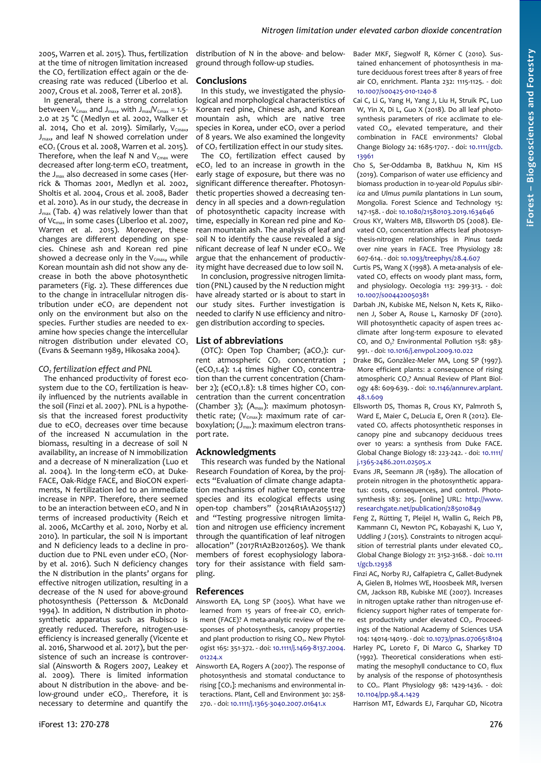2005, Warren et al. 2015). Thus, fertilization at the time of nitrogen limitation increased the CO<sub>2</sub> fertilization effect again or the decreasing rate was reduced (Liberloo et al. 2007, Crous et al. 2008, Terrer et al. 2018).

In general, there is a strong correlation between  $V_{Cmax}$  and  $J_{max}$ , with  $J_{max}/V_{Cmax} = 1.5$ -2.0 at 25 °C (Medlyn et al. 2002, Walker et al. 2014, Cho et al. 2019). Similarly,  $V_{Cmax}$ ,  $J<sub>max</sub>$ , and leaf N showed correlation under  $eCO<sub>2</sub>$  (Crous et al. 2008, Warren et al. 2015). Therefore, when the leaf N and  $V_{Cmax}$  were decreased after long-term eCO<sub>2</sub> treatment, the  $J_{\text{max}}$  also decreased in some cases (Herrick & Thomas 2001, Medlyn et al. 2002, Sholtis et al. 2004, Crous et al. 2008, Bader et al. 2010). As in our study, the decrease in  $J_{\text{max}}$  [\(Tab. 4\)](#page-3-2) was relatively lower than that of Vcmax in some cases (Liberloo et al. 2007, Warren et al. 2015). Moreover, these changes are different depending on species. Chinese ash and Korean red pine showed a decrease only in the  $V_{Cmax}$ , while Korean mountain ash did not show any decrease in both the above photosynthetic parameters [\(Fig. 2\)](#page-4-0). These differences due to the change in intracellular nitrogen distribution under eCO<sub>2</sub> are dependent not only on the environment but also on the species. Further studies are needed to examine how species change the intercellular nitrogen distribution under elevated CO<sub>2</sub> (Evans & Seemann 1989, Hikosaka 2004).

## *CO2 fertilization effect and PNL*

The enhanced productivity of forest ecosystem due to the CO<sub>2</sub> fertilization is heavily influenced by the nutrients available in the soil (Finzi et al. 2007). PNL is a hypothesis that the increased forest productivity due to eCO<sub>2</sub> decreases over time because of the increased N accumulation in the biomass, resulting in a decrease of soil N availability, an increase of N immobilization and a decrease of N mineralization (Luo et al. 2004). In the long-term  $eCO<sub>2</sub>$  at Duke-FACE, Oak-Ridge FACE, and BioCON experiments, N fertilization led to an immediate increase in NPP. Therefore, there seemed to be an interaction between  $eCO<sub>2</sub>$  and N in terms of increased productivity (Reich et al. 2006, McCarthy et al. 2010, Norby et al. 2010). In particular, the soil N is important and N deficiency leads to a decline in production due to PNL even under  $eCO<sub>2</sub>$  (Norby et al. 2016). Such N deficiency changes the N distribution in the plants' organs for effective nitrogen utilization, resulting in a decrease of the N used for above-ground photosynthesis (Pettersson & McDonald 1994). In addition, N distribution in photosynthetic apparatus such as Rubisco is greatly reduced. Therefore, nitrogen-useefficiency is increased generally (Vicente et al. 2016, Sharwood et al. 2017), but the persistence of such an increase is controversial (Ainsworth & Rogers 2007, Leakey et al. 2009). There is limited information about N distribution in the above- and below-ground under  $eCO<sub>2</sub>$ . Therefore, it is necessary to determine and quantify the

distribution of N in the above- and belowground through follow-up studies.

## **Conclusions**

In this study, we investigated the physiological and morphological characteristics of Korean red pine, Chinese ash, and Korean mountain ash, which are native tree species in Korea, under eCO<sub>2</sub> over a period of 8 years. We also examined the longevity of  $\overrightarrow{CO}_2$  fertilization effect in our study sites.

The  $CO<sub>2</sub>$  fertilization effect caused by  $eCO<sub>2</sub>$  led to an increase in growth in the early stage of exposure, but there was no significant difference thereafter. Photosynthetic properties showed a decreasing tendency in all species and a down-regulation of photosynthetic capacity increase with time, especially in Korean red pine and Korean mountain ash. The analysis of leaf and soil N to identify the cause revealed a significant decrease of leaf N under eCO<sub>2</sub>. We argue that the enhancement of productivity might have decreased due to low soil N.

In conclusion, progressive nitrogen limitation (PNL) caused by the N reduction might have already started or is about to start in our study sites. Further investigation is needed to clarify N use efficiency and nitrogen distribution according to species.

## **List of abbreviations**

(OTC): Open Top Chamber;  $(aCO<sub>2</sub>)$ : current atmospheric CO<sub>2</sub> concentration ; (eCO<sub>2</sub>1.4): 1.4 times higher  $CO<sub>2</sub>$  concentration than the current concentration (Chamber 2); (eCO<sub>2</sub>1.8): 1.8 times higher CO<sub>2</sub> concentration than the current concentration (Chamber 3);  $(A<sub>max</sub>)$ : maximum photosynthetic rate; ( $V_{Cmax}$ ): maximum rate of carboxylation;  $(J_{\text{max}})$ : maximum electron transport rate.

## **Acknowledgments**

This research was funded by the National Research Foundation of Korea, by the projects "Evaluation of climate change adaptation mechanisms of native temperate tree species and its ecological effects using open-top chambers" (2014R1A1A2055127) and "Testing progressive nitrogen limitation and nitrogen use efficiency increment through the quantification of leaf nitrogen allocation" (2017R1A2B2012605). We thank members of forest ecophysiology laboratory for their assistance with field sampling.

## **References**

Ainsworth EA, Long SP (2005). What have we learned from 15 years of free-air  $CO<sub>2</sub>$  enrichment (FACE)? A meta-analytic review of the responses of photosynthesis, canopy properties and plant production to rising  $CO<sub>2</sub>$ . New Phytologist 165: 351-372. - doi: [10.1111/j.1469-8137.2004.](https://doi.org/10.1111/j.1469-8137.2004.01224.x) [01224.x](https://doi.org/10.1111/j.1469-8137.2004.01224.x)

Ainsworth EA, Rogers A (2007). The response of photosynthesis and stomatal conductance to rising [CO<sub>2</sub>]: mechanisms and environmental interactions. Plant, Cell and Environment 30: 258- 270. - doi: [10.1111/j.1365-3040.2007.01641.x](https://doi.org/10.1111/j.1365-3040.2007.01641.x)

Bader MKF, Siegwolf R, Körner C (2010). Sustained enhancement of photosynthesis in mature deciduous forest trees after 8 years of free air  $CO<sub>2</sub>$  enrichment. Planta 232: 1115-1125. - doi: [10.1007/s00425-010-1240-8](https://doi.org/10.1007/s00425-010-1240-8)

- Cai C, Li G, Yang H, Yang J, Liu H, Struik PC, Luo W, Yin X, Di L, Guo X (2018). Do all leaf photosynthesis parameters of rice acclimate to elevated CO<sub>2</sub>, elevated temperature, and their combination in FACE environments? Global Change Biology 24: 1685-1707. - doi: [10.1111/gcb.](https://doi.org/10.1111/gcb.13961) [13961](https://doi.org/10.1111/gcb.13961)
- Cho S, Ser-Oddamba B, Batkhuu N, Kim HS (2019). Comparison of water use efficiency and biomass production in 10-year-old *Populus sibirica* and *Ulmus pumila* plantations in Lun soum, Mongolia. Forest Science and Technology 15: 147-158. - doi: [10.1080/21580103.2019.1634646](https://doi.org/10.1080/21580103.2019.1634646)
- Crous KY, Walters MB, Ellsworth DS (2008). Elevated CO<sub>2</sub> concentration affects leaf photosynthesis-nitrogen relationships in *Pinus taeda* over nine years in FACE. Tree Physiology 28: 607-614. - doi: [10.1093/treephys/28.4.607](https://doi.org/10.1093/treephys/28.4.607)
- Curtis PS, Wang X (1998). A meta-analysis of elevated CO<sub>2</sub> effects on woody plant mass, form, and physiology. Oecologia 113: 299-313. - doi: [10.1007/s004420050381](https://doi.org/10.1007/s004420050381)
- Darbah JN, Kubiske ME, Nelson N, Kets K, Riikonen J, Sober A, Rouse L, Karnosky DF (2010). Will photosynthetic capacity of aspen trees acclimate after long-term exposure to elevated  $CO<sub>2</sub>$  and  $O<sub>3</sub>$ ? Environmental Pollution 158: 983-991. - doi: [10.1016/j.envpol.2009.10.022](https://doi.org/10.1016/j.envpol.2009.10.022)
- Drake BG, Gonzàlez-Meler MA, Long SP (1997). More efficient plants: a consequence of rising atmospheric CO<sub>2</sub>? Annual Review of Plant Biology 48: 609-639. - doi: [10.1146/annurev.arplant.](https://doi.org/10.1146/annurev.arplant.48.1.609) [48.1.609](https://doi.org/10.1146/annurev.arplant.48.1.609)
- Ellsworth DS, Thomas R, Crous KY, Palmroth S, Ward E, Maier C, DeLucia E, Oren R (2012). Elevated CO<sub>2</sub> affects photosynthetic responses in canopy pine and subcanopy deciduous trees over 10 years: a synthesis from Duke FACE. Global Change Biology 18: 223-242. - doi: [10.1111/](https://doi.org/10.1111/j.1365-2486.2011.02505.x) [j.1365-2486.2011.02505.x](https://doi.org/10.1111/j.1365-2486.2011.02505.x)
- Evans JR, Seemann JR (1989). The allocation of protein nitrogen in the photosynthetic apparatus: costs, consequences, and control. Photosynthesis 183: 205. [online] URL: [http://www.](http://www.researchgate.net/publication/285010849) [researchgate.net/publication/285010849](http://www.researchgate.net/publication/285010849)
- Feng Z, Rütting T, Pleijel H, Wallin G, Reich PB, Kammann CI, Newton PC, Kobayashi K, Luo Y, Uddling J (2015). Constraints to nitrogen acquisition of terrestrial plants under elevated  $CO<sub>2</sub>$ . Global Change Biology 21: 3152-3168. - doi: [10.111](https://doi.org/10.1111/gcb.12938) [1/gcb.12938](https://doi.org/10.1111/gcb.12938)
- Finzi AC, Norby RJ, Calfapietra C, Gallet-Budynek A, Gielen B, Holmes WE, Hoosbeek MR, Iversen CM, Jackson RB, Kubiske ME (2007). Increases in nitrogen uptake rather than nitrogen-use efficiency support higher rates of temperate forest productivity under elevated CO<sub>2</sub>. Proceedings of the National Academy of Sciences USA 104: 14014-14019. - doi: [10.1073/pnas.0706518104](https://doi.org/10.1073/pnas.0706518104)
- Harley PC, Loreto F, Di Marco G, Sharkey TD (1992). Theoretical considerations when estimating the mesophyll conductance to CO<sub>2</sub> flux by analysis of the response of photosynthesis to CO2. Plant Physiology 98: 1429-1436. - doi: [10.1104/pp.98.4.1429](https://doi.org/10.1104/pp.98.4.1429)

Harrison MT, Edwards EJ, Farquhar GD, Nicotra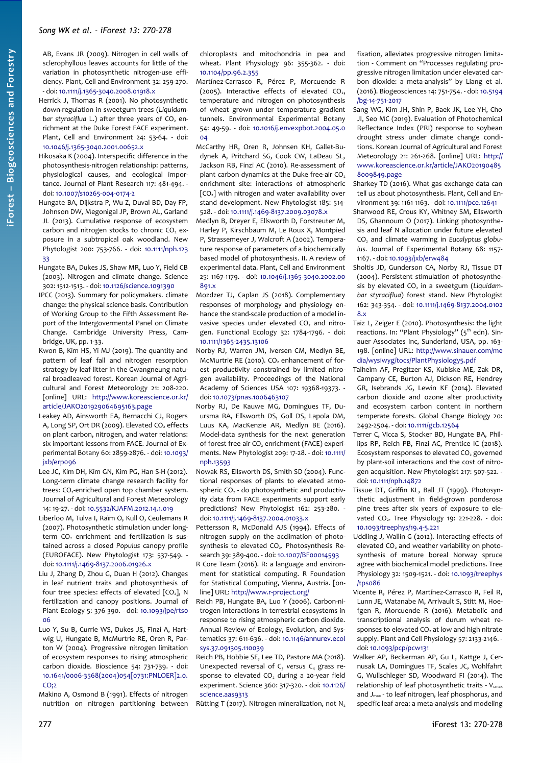- AB, Evans JR (2009). Nitrogen in cell walls of sclerophyllous leaves accounts for little of the variation in photosynthetic nitrogen-use efficiency. Plant, Cell and Environment 32: 259-270. - doi: [10.1111/j.1365-3040.2008.01918.x](https://doi.org/10.1111/j.1365-3040.2008.01918.x)
- Herrick J, Thomas R (2001). No photosynthetic down-regulation in sweetgum trees (*Liquidambar styraciflua* L.) after three years of CO<sub>2</sub> enrichment at the Duke Forest FACE experiment. Plant, Cell and Environment 24: 53-64. - doi: [10.1046/j.1365-3040.2001.00652.x](https://doi.org/10.1046/j.1365-3040.2001.00652.x)
- Hikosaka K (2004). Interspecific difference in the photosynthesis-nitrogen relationship: patterns, physiological causes, and ecological importance. Journal of Plant Research 117: 481-494. doi: [10.1007/s10265-004-0174-2](https://doi.org/10.1007/s10265-004-0174-2)
- Hungate BA, Dijkstra P, Wu Z, Duval BD, Day FP, Johnson DW, Megonigal JP, Brown AL, Garland JL (2013). Cumulative response of ecosystem carbon and nitrogen stocks to chronic CO<sub>2</sub> exposure in a subtropical oak woodland. New Phytologist 200: 753-766. - doi: [10.1111/nph.123](https://doi.org/10.1111/nph.12333) [33](https://doi.org/10.1111/nph.12333)
- Hungate BA, Dukes JS, Shaw MR, Luo Y, Field CB (2003). Nitrogen and climate change. Science 302: 1512-1513. - doi: [10.1126/science.1091390](https://doi.org/10.1126/science.1091390)
- IPCC (2013). Summary for policymakers. climate change: the physical science basis. Contribution of Working Group to the Fifth Assessment Report of the Intergovermental Panel on Climate Change. Cambridge University Press, Cambridge, UK, pp. 1-33.
- Kwon B, Kim HS, Yi MJ (2019). The quantity and pattern of leaf fall and nitrogen resorption strategy by leaf-litter in the Gwangneung natural broadleaved forest. Korean Journal of Agricultural and Forest Meteorology 21: 208-220. [online] URL: [http://www.koreascience.or.kr/](http://www.koreascience.or.kr/article/JAKO201929064695163.page) [article/JAKO201929064695163.page](http://www.koreascience.or.kr/article/JAKO201929064695163.page)
- Leakey AD, Ainsworth EA, Bernacchi CJ, Rogers A, Long SP, Ort DR (2009). Elevated CO<sub>2</sub> effects on plant carbon, nitrogen, and water relations: six important lessons from FACE. Journal of Experimental Botany 60: 2859-2876. - doi: [10.1093/](https://doi.org/10.1093/jxb/erp096) ixb/erpo96
- Lee JC, Kim DH, Kim GN, Kim PG, Han S-H (2012). Long-term climate change research facility for trees:  $CO<sub>2</sub>$ -enriched open top chamber system. Journal of Agricultural and Forest Meteorology 14: 19-27. - doi: [10.5532/KJAFM.2012.14.1.019](https://doi.org/10.5532/KJAFM.2012.14.1.019)
- Liberloo M, Tulva I, Raïm O, Kull O, Ceulemans R (2007). Photosynthetic stimulation under longterm CO<sub>2</sub> enrichment and fertilization is sustained across a closed *Populus* canopy profile (EUROFACE). New Phytologist 173: 537-549. doi: [10.1111/j.1469-8137.2006.01926.x](https://doi.org/10.1111/j.1469-8137.2006.01926.x)
- Liu J, Zhang D, Zhou G, Duan H (2012). Changes in leaf nutrient traits and photosynthesis of four tree species: effects of elevated  $[CO<sub>2</sub>]$ , N fertilization and canopy positions. Journal of Plant Ecology 5: 376-390. - doi: [10.1093/jpe/rts0](https://doi.org/10.1093/jpe/rts006) [06](https://doi.org/10.1093/jpe/rts006)
- Luo Y, Su B, Currie WS, Dukes JS, Finzi A, Hartwig U, Hungate B, McMurtrie RE, Oren R, Parton W (2004). Progressive nitrogen limitation of ecosystem responses to rising atmospheric carbon dioxide. Bioscience 54: 731-739. - doi: [10.1641/0006-3568\(2004\)054\[0731:PNLOER\]2.0.](https://doi.org/10.1641/0006-3568(2004)054%5B0731:PNLOER%5D2.0.CO;2)  $CO:2$

Makino A, Osmond B (1991). Effects of nitrogen nutrition on nitrogen partitioning between chloroplasts and mitochondria in pea and wheat. Plant Physiology 96: 355-362. - doi: [10.1104/pp.96.2.355](https://doi.org/10.1104/pp.96.2.355)

- Martínez-Carrasco R, Pérez P, Morcuende R (2005). Interactive effects of elevated  $CO<sub>2</sub>$ , temperature and nitrogen on photosynthesis of wheat grown under temperature gradient tunnels. Environmental Experimental Botany 54: 49-59. - doi: [10.1016/j.envexpbot.2004.05.0](https://doi.org/10.1016/j.envexpbot.2004.05.004) [04](https://doi.org/10.1016/j.envexpbot.2004.05.004)
- McCarthy HR, Oren R, Johnsen KH, Gallet-Budynek A, Pritchard SG, Cook CW, LaDeau SL, Jackson RB, Finzi AC (2010). Re-assessment of plant carbon dynamics at the Duke free-air  $CO<sub>2</sub>$ enrichment site: interactions of atmospheric  $[CO<sub>2</sub>]$  with nitrogen and water availability over stand development. New Phytologist 185: 514- 528. - doi: [10.1111/j.1469-8137.2009.03078.x](https://doi.org/10.1111/j.1469-8137.2009.03078.x)
- Medlyn B, Dreyer E, Ellsworth D, Forstreuter M, Harley P, Kirschbaum M, Le Roux X, Montpied P, Strassemeyer J, Walcroft A (2002). Temperature response of parameters of a biochemically based model of photosynthesis. II. A review of experimental data. Plant, Cell and Environment 25: 1167-1179. - doi: [10.1046/j.1365-3040.2002.00](https://doi.org/10.1046/j.1365-3040.2002.00891.x) [891.x](https://doi.org/10.1046/j.1365-3040.2002.00891.x)
- Mozdzer TJ, Caplan JS (2018). Complementary responses of morphology and physiology enhance the stand-scale production of a model invasive species under elevated  $CO<sub>2</sub>$  and nitrogen. Functional Ecology 32: 1784-1796. - doi: [10.1111/1365-2435.13106](https://doi.org/10.1111/1365-2435.13106)
- Norby RJ, Warren JM, Iversen CM, Medlyn BE, McMurtrie RE (2010). CO<sub>2</sub> enhancement of forest productivity constrained by limited nitrogen availability. Proceedings of the National Academy of Sciences USA 107: 19368-19373. doi: [10.1073/pnas.1006463107](https://doi.org/10.1073/pnas.1006463107)
- Norby RJ, De Kauwe MG, Domingues TF, Duursma RA, Ellsworth DS, Goll DS, Lapola DM, Luus KA, MacKenzie AR, Medlyn BE (2016). Model-data synthesis for the next generation of forest free-air  $CO<sub>2</sub>$  enrichment (FACE) experiments. New Phytologist 209: 17-28. - doi: [10.1111/](https://doi.org/10.1111/nph.13593) [nph.13593](https://doi.org/10.1111/nph.13593)
- Nowak RS, Ellsworth DS, Smith SD (2004). Functional responses of plants to elevated atmospheric  $CO<sub>2</sub>$  - do photosynthetic and productivity data from FACE experiments support early predictions? New Phytologist 162: 253-280. doi: [10.1111/j.1469-8137.2004.01033.x](https://doi.org/10.1111/j.1469-8137.2004.01033.x)
- Pettersson R, McDonald AJS (1994). Effects of nitrogen supply on the acclimation of photosynthesis to elevated  $CO<sub>2</sub>$ . Photosynthesis Research 39: 389-400. - doi: [10.1007/BF00014593](https://doi.org/10.1007/BF00014593)
- R Core Team (2016). R: a language and environment for statistical computing. R Foundation for Statistical Computing, Vienna, Austria. [online] URL:<http://www.r-project.org/>
- Reich PB, Hungate BA, Luo Y (2006). Carbon-nitrogen interactions in terrestrial ecosystems in response to rising atmospheric carbon dioxide. Annual Review of Ecology, Evolution, and Systematics 37: 611-636. - doi: [10.1146/annurev.ecol](https://doi.org/10.1146/annurev.ecolsys.37.091305.110039) [sys.37.091305.110039](https://doi.org/10.1146/annurev.ecolsys.37.091305.110039)
- Reich PB, Hobbie SE, Lee TD, Pastore MA (2018). Unexpected reversal of C<sub>3</sub> versus C<sub>4</sub> grass response to elevated  $CO<sub>2</sub>$  during a 20-year field experiment. Science 360: 317-320. - doi: [10.1126/](https://doi.org/10.1126/science.aas9313) [science.aas9313](https://doi.org/10.1126/science.aas9313)
- Rütting T (2017). Nitrogen mineralization, not  $N_2$

fixation, alleviates progressive nitrogen limitation - Comment on "Processes regulating progressive nitrogen limitation under elevated carbon dioxide: a meta-analysis" by Liang et al. (2016). Biogeosciences 14: 751-754. - doi: [10.5194](https://doi.org/10.5194/bg-14-751-2017) [/bg-14-751-2017](https://doi.org/10.5194/bg-14-751-2017)

- Sang WG, Kim JH, Shin P, Baek JK, Lee YH, Cho JI, Seo MC (2019). Evaluation of Photochemical Reflectance Index (PRI) response to soybean drought stress under climate change conditions. Korean Journal of Agricultural and Forest Meteorology 21: 261-268. [online] URL: [http://](http://www.koreascience.or.kr/article/JAKO201904858009849.page) [www.koreascience.or.kr/article/JAKO20190485](http://www.koreascience.or.kr/article/JAKO201904858009849.page) [8009849.page](http://www.koreascience.or.kr/article/JAKO201904858009849.page)
- Sharkey TD (2016). What gas exchange data can tell us about photosynthesis. Plant, Cell and Environment 39: 1161-1163. - doi: [10.1111/pce.12641](https://doi.org/10.1111/pce.12641)
- Sharwood RE, Crous KY, Whitney SM, Ellsworth DS, Ghannoum O (2017). Linking photosynthesis and leaf N allocation under future elevated CO2 and climate warming in *Eucalyptus globulus*. Journal of Experimental Botany 68: 1157- 1167. - doi: [10.1093/jxb/erw484](https://doi.org/10.1093/jxb/erw484)
- Sholtis JD, Gunderson CA, Norby RJ, Tissue DT (2004). Persistent stimulation of photosynthesis by elevated CO<sub>2</sub> in a sweetgum (Liquidam*bar styraciflua*) forest stand. New Phytologist 162: 343-354. - doi: [10.1111/j.1469-8137.2004.0102](https://doi.org/10.1111/j.1469-8137.2004.01028.x) [8.x](https://doi.org/10.1111/j.1469-8137.2004.01028.x)
- Taiz L, Zeiger E (2010). Photosynthesis: the light reactions. In: "Plant Physiology" (5<sup>th</sup> edn). Sinauer Associates Inc, Sunderland, USA, pp. 163- 198. [online] URL: [http://www.sinauer.com/me](http://www.sinauer.com/media/wysiwyg/tocs/PlantPhysiology5.pdf) [dia/wysiwyg/tocs/PlantPhysiology5.pdf](http://www.sinauer.com/media/wysiwyg/tocs/PlantPhysiology5.pdf)
- Talhelm AF, Pregitzer KS, Kubiske ME, Zak DR, Campany CE, Burton AJ, Dickson RE, Hendrey GR, Isebrands JG, Lewin KF (2014). Elevated carbon dioxide and ozone alter productivity and ecosystem carbon content in northern temperate forests. Global Change Biology 20: 2492-2504. - doi: [10.1111/gcb.12564](https://doi.org/10.1111/gcb.12564)
- Terrer C, Vicca S, Stocker BD, Hungate BA, Phillips RP, Reich PB, Finzi AC, Prentice IC (2018). Ecosystem responses to elevated CO<sub>2</sub> governed by plant-soil interactions and the cost of nitrogen acquisition. New Phytologist 217: 507-522. doi: [10.1111/nph.14872](https://doi.org/10.1111/nph.14872)
- Tissue DT, Griffin KL, Ball JT (1999). Photosynthetic adjustment in field-grown ponderosa pine trees after six years of exposure to elevated CO<sub>2</sub>. Tree Physiology 19: 221-228. - doi: [10.1093/treephys/19.4-5.221](https://doi.org/10.1093/treephys/19.4-5.221)
- Uddling J, Wallin G (2012). Interacting effects of elevated  $CO<sub>2</sub>$  and weather variability on photosynthesis of mature boreal Norway spruce agree with biochemical model predictions. Tree Physiology 32: 1509-1521. - doi: [10.1093/treephys](https://doi.org/10.1093/treephys/tps086) [/tps086](https://doi.org/10.1093/treephys/tps086)
- Vicente R, Pérez P, Martínez-Carrasco R, Feil R, Lunn JE, Watanabe M, Arrivault S, Stitt M, Hoefgen R, Morcuende R (2016). Metabolic and transcriptional analysis of durum wheat responses to elevated  $CO<sub>2</sub>$  at low and high nitrate supply. Plant and Cell Physiology 57: 2133-2146. doi: [10.1093/pcp/pcw131](https://doi.org/10.1093/pcp/pcw131)
- Walker AP, Beckerman AP, Gu L, Kattge J, Cernusak LA, Domingues TF, Scales JC, Wohlfahrt G, Wullschleger SD, Woodward FI (2014). The relationship of leaf photosynthetic traits -  $V_{\text{cmax}}$ and J<sub>max</sub> - to leaf nitrogen, leaf phosphorus, and specific leaf area: a meta-analysis and modeling